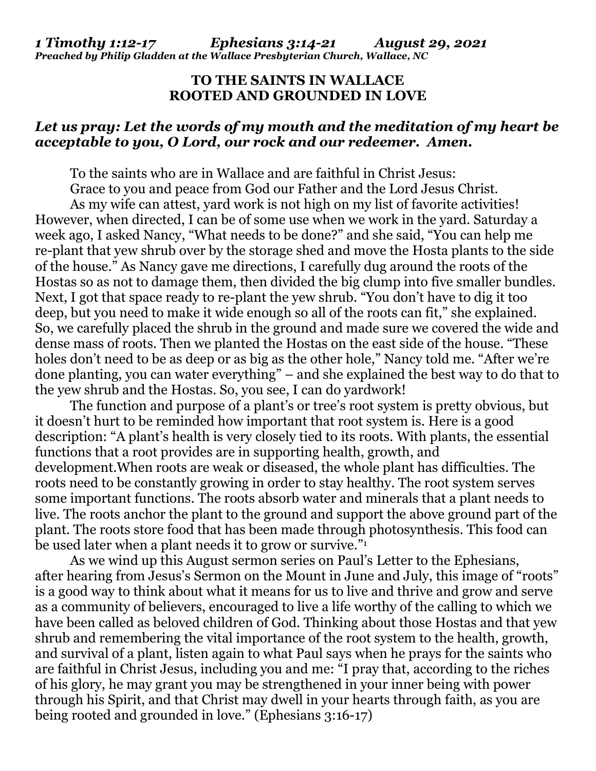## *1 Timothy 1:12-17 Ephesians 3:14-21 August 29, 2021 Preached by Philip Gladden at the Wallace Presbyterian Church, Wallace, NC*

## **TO THE SAINTS IN WALLACE ROOTED AND GROUNDED IN LOVE**

## *Let us pray: Let the words of my mouth and the meditation of my heart be acceptable to you, O Lord, our rock and our redeemer. Amen.*

To the saints who are in Wallace and are faithful in Christ Jesus:

 Grace to you and peace from God our Father and the Lord Jesus Christ. As my wife can attest, yard work is not high on my list of favorite activities! However, when directed, I can be of some use when we work in the yard. Saturday a week ago, I asked Nancy, "What needs to be done?" and she said, "You can help me re-plant that yew shrub over by the storage shed and move the Hosta plants to the side of the house." As Nancy gave me directions, I carefully dug around the roots of the Hostas so as not to damage them, then divided the big clump into five smaller bundles. Next, I got that space ready to re-plant the yew shrub. "You don't have to dig it too deep, but you need to make it wide enough so all of the roots can fit," she explained. So, we carefully placed the shrub in the ground and made sure we covered the wide and dense mass of roots. Then we planted the Hostas on the east side of the house. "These holes don't need to be as deep or as big as the other hole," Nancy told me. "After we're done planting, you can water everything" – and she explained the best way to do that to the yew shrub and the Hostas. So, you see, I can do yardwork!

 The function and purpose of a plant's or tree's root system is pretty obvious, but it doesn't hurt to be reminded how important that root system is. Here is a good description: "A plant's health is very closely tied to its roots. With plants, the essential functions that a root provides are in supporting health, growth, and development.When roots are weak or diseased, the whole plant has difficulties. The roots need to be constantly growing in order to stay healthy. The root system serves some important functions. The roots absorb water and minerals that a plant needs to live. The roots anchor the plant to the ground and support the above ground part of the plant. The roots store food that has been made through photosynthesis. This food can be used later when a plant needs it to grow or survive."<sup>1</sup>

 As we wind up this August sermon series on Paul's Letter to the Ephesians, after hearing from Jesus's Sermon on the Mount in June and July, this image of "roots" is a good way to think about what it means for us to live and thrive and grow and serve as a community of believers, encouraged to live a life worthy of the calling to which we have been called as beloved children of God. Thinking about those Hostas and that yew shrub and remembering the vital importance of the root system to the health, growth, and survival of a plant, listen again to what Paul says when he prays for the saints who are faithful in Christ Jesus, including you and me: "I pray that, according to the riches of his glory, he may grant you may be strengthened in your inner being with power through his Spirit, and that Christ may dwell in your hearts through faith, as you are being rooted and grounded in love." (Ephesians 3:16-17)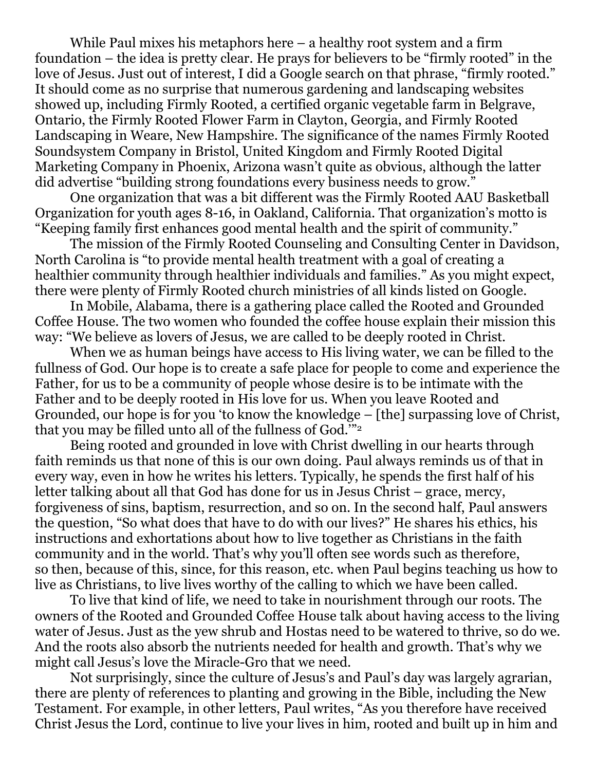While Paul mixes his metaphors here – a healthy root system and a firm foundation – the idea is pretty clear. He prays for believers to be "firmly rooted" in the love of Jesus. Just out of interest, I did a Google search on that phrase, "firmly rooted." It should come as no surprise that numerous gardening and landscaping websites showed up, including Firmly Rooted, a certified organic vegetable farm in Belgrave, Ontario, the Firmly Rooted Flower Farm in Clayton, Georgia, and Firmly Rooted Landscaping in Weare, New Hampshire. The significance of the names Firmly Rooted Soundsystem Company in Bristol, United Kingdom and Firmly Rooted Digital Marketing Company in Phoenix, Arizona wasn't quite as obvious, although the latter did advertise "building strong foundations every business needs to grow."

One organization that was a bit different was the Firmly Rooted AAU Basketball Organization for youth ages 8-16, in Oakland, California. That organization's motto is "Keeping family first enhances good mental health and the spirit of community."

The mission of the Firmly Rooted Counseling and Consulting Center in Davidson, North Carolina is "to provide mental health treatment with a goal of creating a healthier community through healthier individuals and families." As you might expect, there were plenty of Firmly Rooted church ministries of all kinds listed on Google.

In Mobile, Alabama, there is a gathering place called the Rooted and Grounded Coffee House. The two women who founded the coffee house explain their mission this way: "We believe as lovers of Jesus, we are called to be deeply rooted in Christ.

When we as human beings have access to His living water, we can be filled to the fullness of God. Our hope is to create a safe place for people to come and experience the Father, for us to be a community of people whose desire is to be intimate with the Father and to be deeply rooted in His love for us. When you leave Rooted and Grounded, our hope is for you 'to know the knowledge – [the] surpassing love of Christ, that you may be filled unto all of the fullness of God.'"<sup>2</sup>

Being rooted and grounded in love with Christ dwelling in our hearts through faith reminds us that none of this is our own doing. Paul always reminds us of that in every way, even in how he writes his letters. Typically, he spends the first half of his letter talking about all that God has done for us in Jesus Christ – grace, mercy, forgiveness of sins, baptism, resurrection, and so on. In the second half, Paul answers the question, "So what does that have to do with our lives?" He shares his ethics, his instructions and exhortations about how to live together as Christians in the faith community and in the world. That's why you'll often see words such as therefore, so then, because of this, since, for this reason, etc. when Paul begins teaching us how to live as Christians, to live lives worthy of the calling to which we have been called.

To live that kind of life, we need to take in nourishment through our roots. The owners of the Rooted and Grounded Coffee House talk about having access to the living water of Jesus. Just as the yew shrub and Hostas need to be watered to thrive, so do we. And the roots also absorb the nutrients needed for health and growth. That's why we might call Jesus's love the Miracle-Gro that we need.

Not surprisingly, since the culture of Jesus's and Paul's day was largely agrarian, there are plenty of references to planting and growing in the Bible, including the New Testament. For example, in other letters, Paul writes, "As you therefore have received Christ Jesus the Lord, continue to live your lives in him, rooted and built up in him and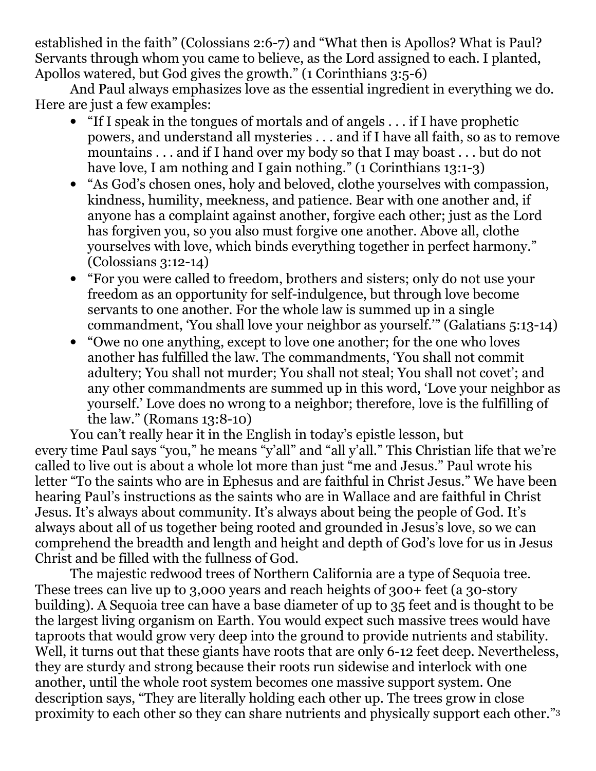established in the faith" (Colossians 2:6-7) and "What then is Apollos? What is Paul? Servants through whom you came to believe, as the Lord assigned to each. I planted, Apollos watered, but God gives the growth." (1 Corinthians 3:5-6)

And Paul always emphasizes love as the essential ingredient in everything we do. Here are just a few examples:

- "If I speak in the tongues of mortals and of angels . . . if I have prophetic powers, and understand all mysteries . . . and if I have all faith, so as to remove mountains . . . and if I hand over my body so that I may boast . . . but do not have love, I am nothing and I gain nothing." (1 Corinthians 13:1-3)
- "As God's chosen ones, holy and beloved, clothe yourselves with compassion, kindness, humility, meekness, and patience. Bear with one another and, if anyone has a complaint against another, forgive each other; just as the Lord has forgiven you, so you also must forgive one another. Above all, clothe yourselves with love, which binds everything together in perfect harmony." (Colossians 3:12-14)
- "For you were called to freedom, brothers and sisters; only do not use your freedom as an opportunity for self-indulgence, but through love become servants to one another. For the whole law is summed up in a single commandment, 'You shall love your neighbor as yourself.'" (Galatians 5:13-14)
- "Owe no one anything, except to love one another; for the one who loves another has fulfilled the law. The commandments, 'You shall not commit adultery; You shall not murder; You shall not steal; You shall not covet'; and any other commandments are summed up in this word, 'Love your neighbor as yourself.' Love does no wrong to a neighbor; therefore, love is the fulfilling of the law." (Romans 13:8-10)

You can't really hear it in the English in today's epistle lesson, but every time Paul says "you," he means "y'all" and "all y'all." This Christian life that we're called to live out is about a whole lot more than just "me and Jesus." Paul wrote his letter "To the saints who are in Ephesus and are faithful in Christ Jesus." We have been hearing Paul's instructions as the saints who are in Wallace and are faithful in Christ Jesus. It's always about community. It's always about being the people of God. It's always about all of us together being rooted and grounded in Jesus's love, so we can comprehend the breadth and length and height and depth of God's love for us in Jesus Christ and be filled with the fullness of God.

 The majestic redwood trees of Northern California are a type of Sequoia tree. These trees can live up to 3,000 years and reach heights of 300+ feet (a 30-story building). A Sequoia tree can have a base diameter of up to 35 feet and is thought to be the largest living organism on Earth. You would expect such massive trees would have taproots that would grow very deep into the ground to provide nutrients and stability. Well, it turns out that these giants have roots that are only 6-12 feet deep. Nevertheless, they are sturdy and strong because their roots run sidewise and interlock with one another, until the whole root system becomes one massive support system. One description says, "They are literally holding each other up. The trees grow in close proximity to each other so they can share nutrients and physically support each other."3